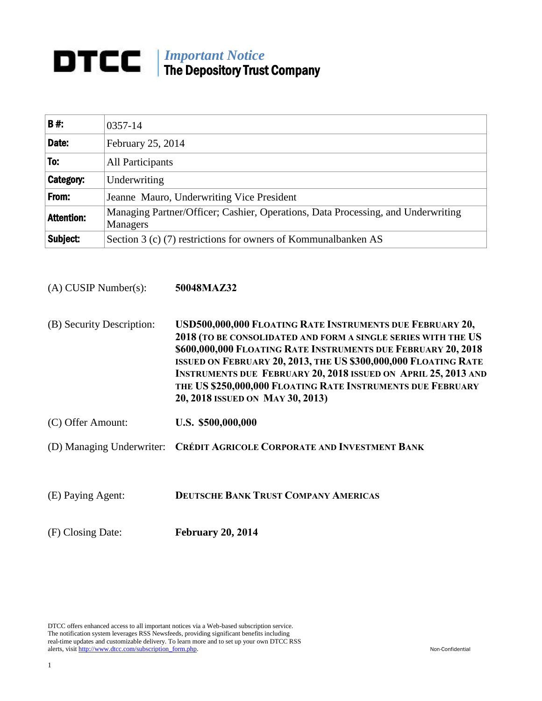## **DTCC Important Notice** The Depository Trust Company

| <b>B#:</b>        | 0357-14                                                                                      |
|-------------------|----------------------------------------------------------------------------------------------|
| Date:             | February 25, 2014                                                                            |
| To:               | All Participants                                                                             |
| <b>Category:</b>  | Underwriting                                                                                 |
| From:             | Jeanne Mauro, Underwriting Vice President                                                    |
| <b>Attention:</b> | Managing Partner/Officer; Cashier, Operations, Data Processing, and Underwriting<br>Managers |
| Subject:          | Section 3 (c) (7) restrictions for owners of Kommunalbanken AS                               |

(A) CUSIP Number(s): **50048MAZ32**

- (B) Security Description: **USD500,000,000 FLOATING RATE INSTRUMENTS DUE FEBRUARY 20, 2018 (TO BE CONSOLIDATED AND FORM A SINGLE SERIES WITH THE US \$600,000,000 FLOATING RATE INSTRUMENTS DUE FEBRUARY 20, 2018 ISSUED ON FEBRUARY 20, 2013, THE US \$300,000,000 FLOATING RATE INSTRUMENTS DUE FEBRUARY 20, 2018 ISSUED ON APRIL 25, 2013 AND THE US \$250,000,000 FLOATING RATE INSTRUMENTS DUE FEBRUARY 20, 2018 ISSUED ON MAY 30, 2013)**
- (C) Offer Amount: **U.S. \$500,000,000**
- (D) Managing Underwriter: **CRÉDIT AGRICOLE CORPORATE AND INVESTMENT BANK**
- (E) Paying Agent: **DEUTSCHE BANK TRUST COMPANY AMERICAS**

(F) Closing Date: **February 20, 2014**

DTCC offers enhanced access to all important notices via a Web-based subscription service. The notification system leverages RSS Newsfeeds, providing significant benefits including real-time updates and customizable delivery. To learn more and to set up your own DTCC RSS alerts, visit [http://www.dtcc.com/subscription\\_form.php.](http://www.dtcc.com/subscription_form.php) Non-Confidential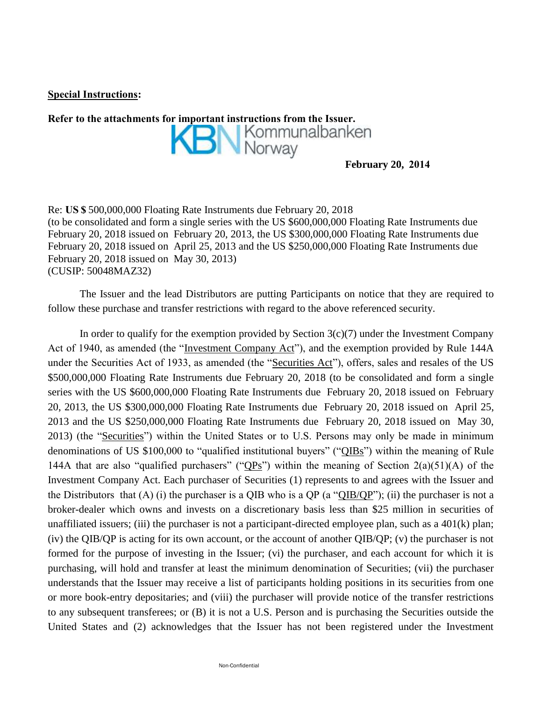**Special Instructions:**

Refer to the attachments for important instructions from the Issuer.<br> **REFERENT MORE INSTEAD MORE INSTEAD INSTEAD MORE INSTEAD INSTEAD INSTEAD INSTEAD INSTEAD IN MORE IN THE ISSUE OF THE ISLAM MORE IN THE ISLAM MORE IN THE February 20, 2014**

Re: **US \$** 500,000,000 Floating Rate Instruments due February 20, 2018 (to be consolidated and form a single series with the US \$600,000,000 Floating Rate Instruments due February 20, 2018 issued on February 20, 2013, the US \$300,000,000 Floating Rate Instruments due February 20, 2018 issued on April 25, 2013 and the US \$250,000,000 Floating Rate Instruments due February 20, 2018 issued on May 30, 2013) (CUSIP: 50048MAZ32)

The Issuer and the lead Distributors are putting Participants on notice that they are required to follow these purchase and transfer restrictions with regard to the above referenced security.

In order to qualify for the exemption provided by Section  $3(c)(7)$  under the Investment Company Act of 1940, as amended (the "Investment Company Act"), and the exemption provided by Rule 144A under the Securities Act of 1933, as amended (the "Securities Act"), offers, sales and resales of the US \$500,000,000 Floating Rate Instruments due February 20, 2018 (to be consolidated and form a single series with the US \$600,000,000 Floating Rate Instruments due February 20, 2018 issued on February 20, 2013, the US \$300,000,000 Floating Rate Instruments due February 20, 2018 issued on April 25, 2013 and the US \$250,000,000 Floating Rate Instruments due February 20, 2018 issued on May 30, 2013) (the "Securities") within the United States or to U.S. Persons may only be made in minimum denominations of US \$100,000 to "qualified institutional buyers" ("QIBs") within the meaning of Rule 144A that are also "qualified purchasers" ("QPs") within the meaning of Section  $2(a)(51)(A)$  of the Investment Company Act. Each purchaser of Securities (1) represents to and agrees with the Issuer and the Distributors that (A) (i) the purchaser is a QIB who is a QP (a " $QIB/QP$ "); (ii) the purchaser is not a broker-dealer which owns and invests on a discretionary basis less than \$25 million in securities of unaffiliated issuers; (iii) the purchaser is not a participant-directed employee plan, such as a 401(k) plan; (iv) the QIB/QP is acting for its own account, or the account of another QIB/QP; (v) the purchaser is not formed for the purpose of investing in the Issuer; (vi) the purchaser, and each account for which it is purchasing, will hold and transfer at least the minimum denomination of Securities; (vii) the purchaser understands that the Issuer may receive a list of participants holding positions in its securities from one or more book-entry depositaries; and (viii) the purchaser will provide notice of the transfer restrictions to any subsequent transferees; or (B) it is not a U.S. Person and is purchasing the Securities outside the United States and (2) acknowledges that the Issuer has not been registered under the Investment